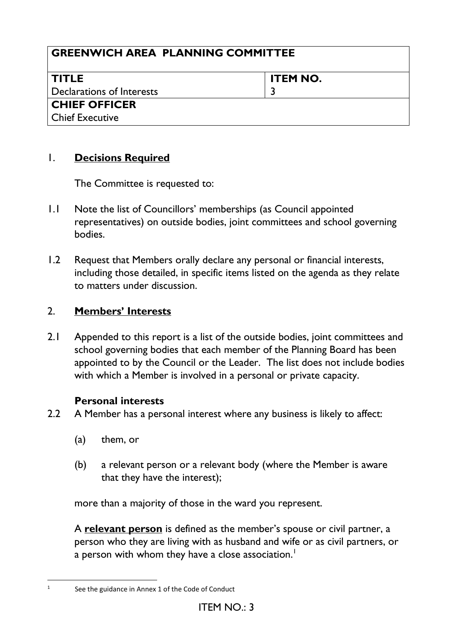| <b>GREENWICH AREA PLANNING COMMITTEE</b> |                 |  |
|------------------------------------------|-----------------|--|
| <b>TITLE</b>                             | <b>ITEM NO.</b> |  |
| Declarations of Interests                |                 |  |
| <b>CHIEF OFFICER</b>                     |                 |  |
| Chief Executive                          |                 |  |

## 1. **Decisions Required**

The Committee is requested to:

- 1.1 Note the list of Councillors' memberships (as Council appointed representatives) on outside bodies, joint committees and school governing bodies.
- 1.2 Request that Members orally declare any personal or financial interests, including those detailed, in specific items listed on the agenda as they relate to matters under discussion.

# 2. **Members' Interests**

2.1 Appended to this report is a list of the outside bodies, joint committees and school governing bodies that each member of the Planning Board has been appointed to by the Council or the Leader. The list does not include bodies with which a Member is involved in a personal or private capacity.

## **Personal interests**

- 2.2 A Member has a personal interest where any business is likely to affect:
	- (a) them, or
	- (b) a relevant person or a relevant body (where the Member is aware that they have the interest);

more than a majority of those in the ward you represent.

A **relevant person** is defined as the member's spouse or civil partner, a person who they are living with as husband and wife or as civil partners, or a person with whom they have a close association.<sup>1</sup>

<sup>1</sup> See the guidance in Annex 1 of the Code of Conduct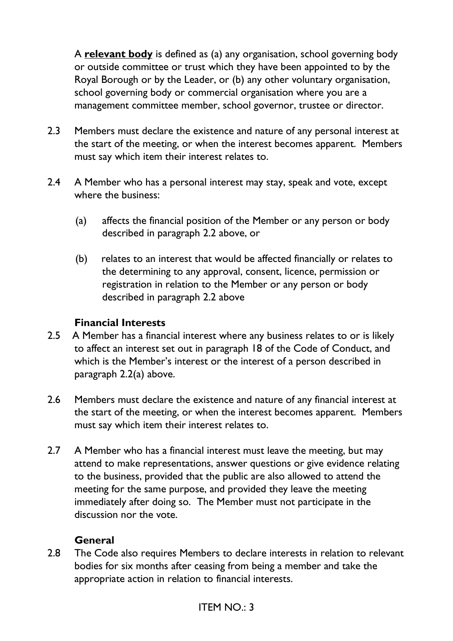A **relevant body** is defined as (a) any organisation, school governing body or outside committee or trust which they have been appointed to by the Royal Borough or by the Leader, or (b) any other voluntary organisation, school governing body or commercial organisation where you are a management committee member, school governor, trustee or director.

- 2.3 Members must declare the existence and nature of any personal interest at the start of the meeting, or when the interest becomes apparent. Members must say which item their interest relates to.
- 2.4 A Member who has a personal interest may stay, speak and vote, except where the business:
	- (a) affects the financial position of the Member or any person or body described in paragraph 2.2 above, or
	- (b) relates to an interest that would be affected financially or relates to the determining to any approval, consent, licence, permission or registration in relation to the Member or any person or body described in paragraph 2.2 above

### **Financial Interests**

- 2.5 A Member has a financial interest where any business relates to or is likely to affect an interest set out in paragraph 18 of the Code of Conduct, and which is the Member's interest or the interest of a person described in paragraph 2.2(a) above.
- 2.6 Members must declare the existence and nature of any financial interest at the start of the meeting, or when the interest becomes apparent. Members must say which item their interest relates to.
- 2.7 A Member who has a financial interest must leave the meeting, but may attend to make representations, answer questions or give evidence relating to the business, provided that the public are also allowed to attend the meeting for the same purpose, and provided they leave the meeting immediately after doing so. The Member must not participate in the discussion nor the vote.

### **General**

2.8 The Code also requires Members to declare interests in relation to relevant bodies for six months after ceasing from being a member and take the appropriate action in relation to financial interests.